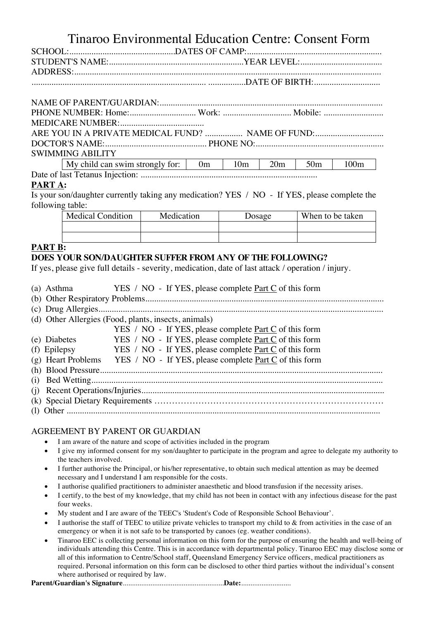# Tinaroo Environmental Education Centre: Consent Form

|  | ARE YOU IN A PRIVATE MEDICAL FUND?  NAME OF FUND:                                                           |  |  |  |  |  |  |
|--|-------------------------------------------------------------------------------------------------------------|--|--|--|--|--|--|
|  |                                                                                                             |  |  |  |  |  |  |
|  | <b>SWIMMING ABILITY</b>                                                                                     |  |  |  |  |  |  |
|  | $M_V$ child can swim strongly for: $\begin{bmatrix} 0m & 10m \\ 10m & 20m \end{bmatrix}$ 50 $\mu$ 100 $\mu$ |  |  |  |  |  |  |

| My child can swim strongly for:  $\vert$  0m  $\vert$  10m  $\vert$  20m  $\vert$  50m  $\vert$  100m Date of last Tetanus Injection: ................................................................................ **PART A:**

Is your son/daughter currently taking any medication? YES / NO - If YES, please complete the following table:

| <b>Medical Condition</b> | Medication | <b>Dosage</b> | When to be taken |  |  |  |
|--------------------------|------------|---------------|------------------|--|--|--|
|                          |            |               |                  |  |  |  |
|                          |            |               |                  |  |  |  |

## **PART B:**

# **DOES YOUR SON/DAUGHTER SUFFER FROM ANY OF THE FOLLOWING?**

If yes, please give full details - severity, medication, date of last attack / operation / injury.

|  | (a) Asthma |  |  |  |  |  |  | YES / NO - If YES, please complete <u>Part C</u> of this form |  |  |  |  |  |  |  |  |
|--|------------|--|--|--|--|--|--|---------------------------------------------------------------|--|--|--|--|--|--|--|--|
|--|------------|--|--|--|--|--|--|---------------------------------------------------------------|--|--|--|--|--|--|--|--|

(b) Other Respiratory Problems............................................................................................................

|--|--|--|

(d) Other Allergies (Food, plants, insects, animals)

|              | YES / NO - If YES, please complete Part C of this form                      |
|--------------|-----------------------------------------------------------------------------|
| (e) Diabetes | YES / NO - If YES, please complete Part C of this form                      |
|              | (f) Epilepsy $YES / NO - If YES$ , please complete Part C of this form      |
|              | (g) Heart Problems YES / NO - If YES, please complete $Part C$ of this form |
|              |                                                                             |
|              |                                                                             |
|              |                                                                             |
|              |                                                                             |
|              |                                                                             |

#### AGREEMENT BY PARENT OR GUARDIAN

- I am aware of the nature and scope of activities included in the program
- I give my informed consent for my son/daughter to participate in the program and agree to delegate my authority to the teachers involved.
- I further authorise the Principal, or his/her representative, to obtain such medical attention as may be deemed necessary and I understand I am responsible for the costs.
- I authorise qualified practitioners to administer anaesthetic and blood transfusion if the necessity arises.
- I certify, to the best of my knowledge, that my child has not been in contact with any infectious disease for the past four weeks.
- My student and I are aware of the TEEC's 'Student's Code of Responsible School Behaviour'.
- I authorise the staff of TEEC to utilize private vehicles to transport my child to & from activities in the case of an emergency or when it is not safe to be transported by canoes (eg. weather conditions).
- Tinaroo EEC is collecting personal information on this form for the purpose of ensuring the health and well-being of individuals attending this Centre. This is in accordance with departmental policy. Tinaroo EEC may disclose some or all of this information to Centre/School staff, Queensland Emergency Service officers, medical practitioners as required. Personal information on this form can be disclosed to other third parties without the individual's consent where authorised or required by law.

**Parent/Guardian's Signature**.......................................................**Date:**...........................